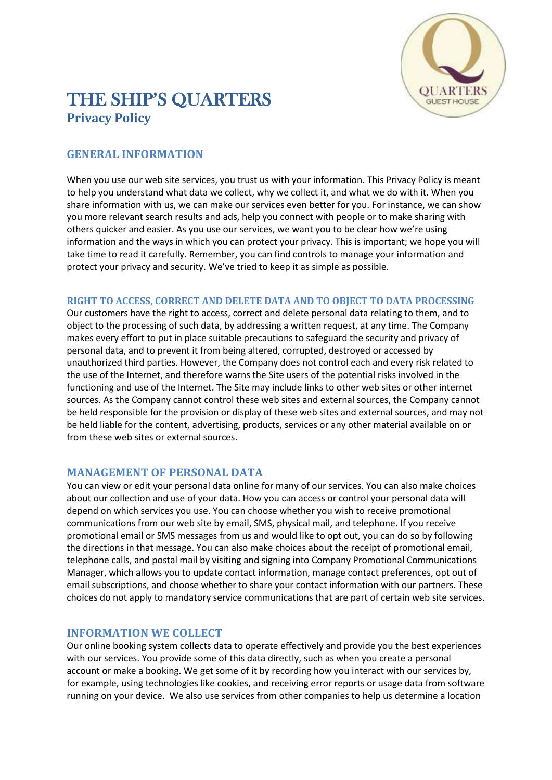

# THE SHIP'S QUARTERS **Privacy Policy**

## **GENERAL INFORMATION**

When you use our web site services, you trust us with your information. This Privacy Policy is meant to help you understand what data we collect, why we collect it, and what we do with it. When you share information with us, we can make our services even better for you. For instance, we can show you more relevant search results and ads, help you connect with people or to make sharing with others quicker and easier. As you use our services, we want you to be clear how we're using information and the ways in which you can protect your privacy. This is important; we hope you will take time to read it carefully. Remember, you can find controls to manage your information and protect your privacy and security. We've tried to keep it as simple as possible.

#### **RIGHT TO ACCESS, CORRECT AND DELETE DATA AND TO OBJECT TO DATA PROCESSING**

Our customers have the right to access, correct and delete personal data relating to them, and to object to the processing of such data, by addressing a written request, at any time. The Company makes every effort to put in place suitable precautions to safeguard the security and privacy of personal data, and to prevent it from being altered, corrupted, destroyed or accessed by unauthorized third parties. However, the Company does not control each and every risk related to the use of the Internet, and therefore warns the Site users of the potential risks involved in the functioning and use of the Internet. The Site may include links to other web sites or other internet sources. As the Company cannot control these web sites and external sources, the Company cannot be held responsible for the provision or display of these web sites and external sources, and may not be held liable for the content, advertising, products, services or any other material available on or from these web sites or external sources.

#### **MANAGEMENT OF PERSONAL DATA**

You can view or edit your personal data online for many of our services. You can also make choices about our collection and use of your data. How you can access or control your personal data will depend on which services you use. You can choose whether you wish to receive promotional communications from our web site by email, SMS, physical mail, and telephone. If you receive promotional email or SMS messages from us and would like to opt out, you can do so by following the directions in that message. You can also make choices about the receipt of promotional email, telephone calls, and postal mail by visiting and signing into Company Promotional Communications Manager, which allows you to update contact information, manage contact preferences, opt out of email subscriptions, and choose whether to share your contact information with our partners. These choices do not apply to mandatory service communications that are part of certain web site services.

## **INFORMATION WE COLLECT**

Our online booking system collects data to operate effectively and provide you the best experiences with our services. You provide some of this data directly, such as when you create a personal account or make a booking. We get some of it by recording how you interact with our services by, for example, using technologies like cookies, and receiving error reports or usage data from software running on your device. We also use services from other companies to help us determine a location